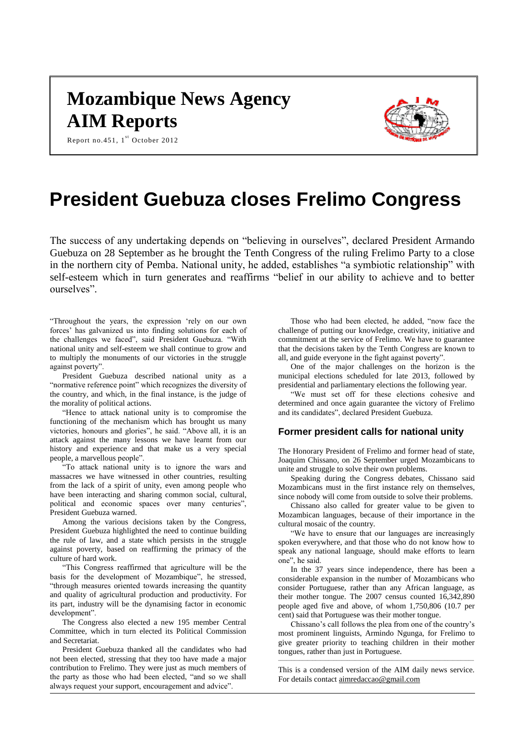# **Mozambique News Agency AIM Reports**



Report no.451,  $1^{\text{st}}$  October 2012

# **President Guebuza closes Frelimo Congress**

The success of any undertaking depends on "believing in ourselves", declared President Armando Guebuza on 28 September as he brought the Tenth Congress of the ruling Frelimo Party to a close in the northern city of Pemba. National unity, he added, establishes "a symbiotic relationship" with self-esteem which in turn generates and reaffirms "belief in our ability to achieve and to better ourselves".

"Throughout the years, the expression 'rely on our own forces' has galvanized us into finding solutions for each of the challenges we faced", said President Guebuza. "With national unity and self-esteem we shall continue to grow and to multiply the monuments of our victories in the struggle against poverty".

President Guebuza described national unity as a "normative reference point" which recognizes the diversity of the country, and which, in the final instance, is the judge of the morality of political actions.

"Hence to attack national unity is to compromise the functioning of the mechanism which has brought us many victories, honours and glories", he said. "Above all, it is an attack against the many lessons we have learnt from our history and experience and that make us a very special people, a marvellous people".

"To attack national unity is to ignore the wars and massacres we have witnessed in other countries, resulting from the lack of a spirit of unity, even among people who have been interacting and sharing common social, cultural, political and economic spaces over many centuries", President Guebuza warned.

Among the various decisions taken by the Congress, President Guebuza highlighted the need to continue building the rule of law, and a state which persists in the struggle against poverty, based on reaffirming the primacy of the culture of hard work.

"This Congress reaffirmed that agriculture will be the basis for the development of Mozambique", he stressed, "through measures oriented towards increasing the quantity and quality of agricultural production and productivity. For its part, industry will be the dynamising factor in economic development".

The Congress also elected a new 195 member Central Committee, which in turn elected its Political Commission and Secretariat.

President Guebuza thanked all the candidates who had not been elected, stressing that they too have made a major contribution to Frelimo. They were just as much members of the party as those who had been elected, "and so we shall always request your support, encouragement and advice".

Those who had been elected, he added, "now face the challenge of putting our knowledge, creativity, initiative and commitment at the service of Frelimo. We have to guarantee that the decisions taken by the Tenth Congress are known to all, and guide everyone in the fight against poverty".

One of the major challenges on the horizon is the municipal elections scheduled for late 2013, followed by presidential and parliamentary elections the following year.

"We must set off for these elections cohesive and determined and once again guarantee the victory of Frelimo and its candidates", declared President Guebuza.

# **Former president calls for national unity**

The Honorary President of Frelimo and former head of state, Joaquim Chissano, on 26 September urged Mozambicans to unite and struggle to solve their own problems.

Speaking during the Congress debates, Chissano said Mozambicans must in the first instance rely on themselves, since nobody will come from outside to solve their problems.

Chissano also called for greater value to be given to Mozambican languages, because of their importance in the cultural mosaic of the country.

"We have to ensure that our languages are increasingly spoken everywhere, and that those who do not know how to speak any national language, should make efforts to learn one", he said.

In the 37 years since independence, there has been a considerable expansion in the number of Mozambicans who consider Portuguese, rather than any African language, as their mother tongue. The 2007 census counted 16,342,890 people aged five and above, of whom 1,750,806 (10.7 per cent) said that Portuguese was their mother tongue.

Chissano's call follows the plea from one of the country's most prominent linguists, Armindo Ngunga, for Frelimo to give greater priority to teaching children in their mother tongues, rather than just in Portuguese.  $\blacksquare$ 

This is a condensed version of the AIM daily news service. For details contac[t aimredaccao@gmail.com](mailto:aimredaccao@gmail.com)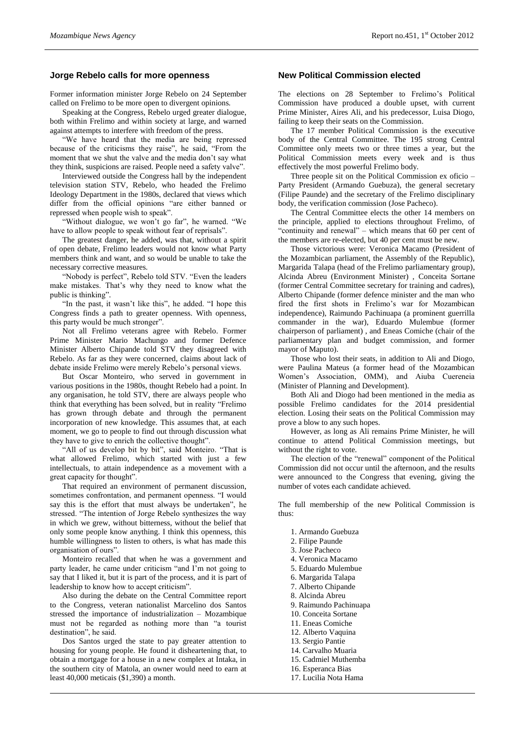## **Jorge Rebelo calls for more openness**

Former information minister Jorge Rebelo on 24 September called on Frelimo to be more open to divergent opinions.

Speaking at the Congress, Rebelo urged greater dialogue, both within Frelimo and within society at large, and warned against attempts to interfere with freedom of the press.

"We have heard that the media are being repressed because of the criticisms they raise", he said, "From the moment that we shut the valve and the media don't say what they think, suspicions are raised. People need a safety valve".

Interviewed outside the Congress hall by the independent television station STV, Rebelo, who headed the Frelimo Ideology Department in the 1980s, declared that views which differ from the official opinions "are either banned or repressed when people wish to speak".

"Without dialogue, we won't go far", he warned. "We have to allow people to speak without fear of reprisals".

The greatest danger, he added, was that, without a spirit of open debate, Frelimo leaders would not know what Party members think and want, and so would be unable to take the necessary corrective measures.

"Nobody is perfect", Rebelo told STV. "Even the leaders make mistakes. That's why they need to know what the public is thinking".

"In the past, it wasn't like this", he added. "I hope this Congress finds a path to greater openness. With openness, this party would be much stronger".

Not all Frelimo veterans agree with Rebelo. Former Prime Minister Mario Machungo and former Defence Minister Alberto Chipande told STV they disagreed with Rebelo. As far as they were concerned, claims about lack of debate inside Frelimo were merely Rebelo's personal views.

But Oscar Monteiro, who served in government in various positions in the 1980s, thought Rebelo had a point. In any organisation, he told STV, there are always people who think that everything has been solved, but in reality "Frelimo has grown through debate and through the permanent incorporation of new knowledge. This assumes that, at each moment, we go to people to find out through discussion what they have to give to enrich the collective thought".

"All of us develop bit by bit", said Monteiro. "That is what allowed Frelimo, which started with just a few intellectuals, to attain independence as a movement with a great capacity for thought".

That required an environment of permanent discussion, sometimes confrontation, and permanent openness. "I would say this is the effort that must always be undertaken", he stressed. "The intention of Jorge Rebelo synthesizes the way in which we grew, without bitterness, without the belief that only some people know anything. I think this openness, this humble willingness to listen to others, is what has made this organisation of ours".

Monteiro recalled that when he was a government and party leader, he came under criticism "and I'm not going to say that I liked it, but it is part of the process, and it is part of leadership to know how to accept criticism".

Also during the debate on the Central Committee report to the Congress, veteran nationalist Marcelino dos Santos stressed the importance of industrialization – Mozambique must not be regarded as nothing more than "a tourist destination", he said.

Dos Santos urged the state to pay greater attention to housing for young people. He found it disheartening that, to obtain a mortgage for a house in a new complex at Intaka, in the southern city of Matola, an owner would need to earn at least 40,000 meticais (\$1,390) a month.

#### **New Political Commission elected**

The elections on 28 September to Frelimo's Political Commission have produced a double upset, with current Prime Minister, Aires Ali, and his predecessor, Luisa Diogo, failing to keep their seats on the Commission.

The 17 member Political Commission is the executive body of the Central Committee. The 195 strong Central Committee only meets two or three times a year, but the Political Commission meets every week and is thus effectively the most powerful Frelimo body.

Three people sit on the Political Commission ex oficio – Party President (Armando Guebuza), the general secretary (Filipe Paunde) and the secretary of the Frelimo disciplinary body, the verification commission (Jose Pacheco).

The Central Committee elects the other 14 members on the principle, applied to elections throughout Frelimo, of "continuity and renewal" – which means that 60 per cent of the members are re-elected, but 40 per cent must be new.

Those victorious were: Veronica Macamo (President of the Mozambican parliament, the Assembly of the Republic), Margarida Talapa (head of the Frelimo parliamentary group), Alcinda Abreu (Environment Minister) , Conceita Sortane (former Central Committee secretary for training and cadres), Alberto Chipande (former defence minister and the man who fired the first shots in Frelimo's war for Mozambican independence), Raimundo Pachinuapa (a prominent guerrilla commander in the war), Eduardo Mulembue (former chairperson of parliament) , and Eneas Comiche (chair of the parliamentary plan and budget commission, and former mayor of Maputo).

Those who lost their seats, in addition to Ali and Diogo, were Paulina Mateus (a former head of the Mozambican Women's Association, OMM), and Aiuba Cuereneia (Minister of Planning and Development).

Both Ali and Diogo had been mentioned in the media as possible Frelimo candidates for the 2014 presidential election. Losing their seats on the Political Commission may prove a blow to any such hopes.

However, as long as Ali remains Prime Minister, he will continue to attend Political Commission meetings, but without the right to vote.

The election of the "renewal" component of the Political Commission did not occur until the afternoon, and the results were announced to the Congress that evening, giving the number of votes each candidate achieved.

The full membership of the new Political Commission is thus:

- 1. Armando Guebuza
- 2. Filipe Paunde
- 3. Jose Pacheco
- 4. Veronica Macamo
- 5. Eduardo Mulembue
- 6. Margarida Talapa
- 7. Alberto Chipande
- 8. Alcinda Abreu
- 9. Raimundo Pachinuapa
- 10. Conceita Sortane
- 11. Eneas Comiche
- 12. Alberto Vaquina
- 
- 13. Sergio Pantie
- 14. Carvalho Muaria
- 15. Cadmiel Muthemba
- 16. Esperanca Bias
- 17. Lucilia Nota Hama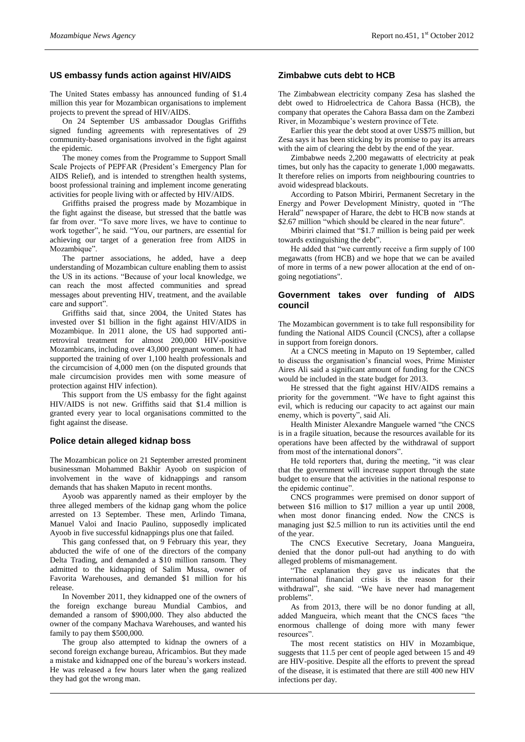## **US embassy funds action against HIV/AIDS**

The United States embassy has announced funding of \$1.4 million this year for Mozambican organisations to implement projects to prevent the spread of HIV/AIDS.

On 24 September US ambassador Douglas Griffiths signed funding agreements with representatives of 29 community-based organisations involved in the fight against the epidemic.

The money comes from the Programme to Support Small Scale Projects of PEPFAR (President's Emergency Plan for AIDS Relief), and is intended to strengthen health systems, boost professional training and implement income generating activities for people living with or affected by HIV/AIDS.

Griffiths praised the progress made by Mozambique in the fight against the disease, but stressed that the battle was far from over. "To save more lives, we have to continue to work together", he said. "You, our partners, are essential for achieving our target of a generation free from AIDS in Mozambique".

The partner associations, he added, have a deep understanding of Mozambican culture enabling them to assist the US in its actions. "Because of your local knowledge, we can reach the most affected communities and spread messages about preventing HIV, treatment, and the available care and support".

Griffiths said that, since 2004, the United States has invested over \$1 billion in the fight against HIV/AIDS in Mozambique. In 2011 alone, the US had supported antiretroviral treatment for almost 200,000 HIV-positive Mozambicans, including over 43,000 pregnant women. It had supported the training of over 1,100 health professionals and the circumcision of 4,000 men (on the disputed grounds that male circumcision provides men with some measure of protection against HIV infection).

This support from the US embassy for the fight against HIV/AIDS is not new. Griffiths said that \$1.4 million is granted every year to local organisations committed to the fight against the disease.

#### **Police detain alleged kidnap boss**

The Mozambican police on 21 September arrested prominent businessman Mohammed Bakhir Ayoob on suspicion of involvement in the wave of kidnappings and ransom demands that has shaken Maputo in recent months.

Ayoob was apparently named as their employer by the three alleged members of the kidnap gang whom the police arrested on 13 September. These men, Arlindo Timana, Manuel Valoi and Inacio Paulino, supposedly implicated Ayoob in five successful kidnappings plus one that failed.

This gang confessed that, on 9 February this year, they abducted the wife of one of the directors of the company Delta Trading, and demanded a \$10 million ransom. They admitted to the kidnapping of Salim Mussa, owner of Favorita Warehouses, and demanded \$1 million for his release.

In November 2011, they kidnapped one of the owners of the foreign exchange bureau Mundial Cambios, and demanded a ransom of \$900,000. They also abducted the owner of the company Machava Warehouses, and wanted his family to pay them \$500,000.

The group also attempted to kidnap the owners of a second foreign exchange bureau, Africambios. But they made a mistake and kidnapped one of the bureau's workers instead. He was released a few hours later when the gang realized they had got the wrong man.

### **Zimbabwe cuts debt to HCB**

The Zimbabwean electricity company Zesa has slashed the debt owed to Hidroelectrica de Cahora Bassa (HCB), the company that operates the Cahora Bassa dam on the Zambezi River, in Mozambique's western province of Tete.

Earlier this year the debt stood at over US\$75 million, but Zesa says it has been sticking by its promise to pay its arrears with the aim of clearing the debt by the end of the year.

Zimbabwe needs 2,200 megawatts of electricity at peak times, but only has the capacity to generate 1,000 megawatts. It therefore relies on imports from neighbouring countries to avoid widespread blackouts.

According to Patson Mbiriri, Permanent Secretary in the Energy and Power Development Ministry, quoted in "The Herald" newspaper of Harare, the debt to HCB now stands at \$2.67 million "which should be cleared in the near future".

Mbiriri claimed that "\$1.7 million is being paid per week towards extinguishing the debt".

He added that "we currently receive a firm supply of 100 megawatts (from HCB) and we hope that we can be availed of more in terms of a new power allocation at the end of ongoing negotiations".

### **Government takes over funding of AIDS council**

The Mozambican government is to take full responsibility for funding the National AIDS Council (CNCS), after a collapse in support from foreign donors.

At a CNCS meeting in Maputo on 19 September, called to discuss the organisation's financial woes, Prime Minister Aires Ali said a significant amount of funding for the CNCS would be included in the state budget for 2013.

He stressed that the fight against HIV/AIDS remains a priority for the government. "We have to fight against this evil, which is reducing our capacity to act against our main enemy, which is poverty", said Ali.

Health Minister Alexandre Manguele warned "the CNCS is in a fragile situation, because the resources available for its operations have been affected by the withdrawal of support from most of the international donors".

He told reporters that, during the meeting, "it was clear that the government will increase support through the state budget to ensure that the activities in the national response to the epidemic continue".

CNCS programmes were premised on donor support of between \$16 million to \$17 million a year up until 2008, when most donor financing ended. Now the CNCS is managing just \$2.5 million to run its activities until the end of the year.

The CNCS Executive Secretary, Joana Mangueira, denied that the donor pull-out had anything to do with alleged problems of mismanagement.

"The explanation they gave us indicates that the international financial crisis is the reason for their withdrawal", she said. "We have never had management problems".

As from 2013, there will be no donor funding at all, added Mangueira, which meant that the CNCS faces "the enormous challenge of doing more with many fewer resources".

The most recent statistics on HIV in Mozambique, suggests that 11.5 per cent of people aged between 15 and 49 are HIV-positive. Despite all the efforts to prevent the spread of the disease, it is estimated that there are still 400 new HIV infections per day.